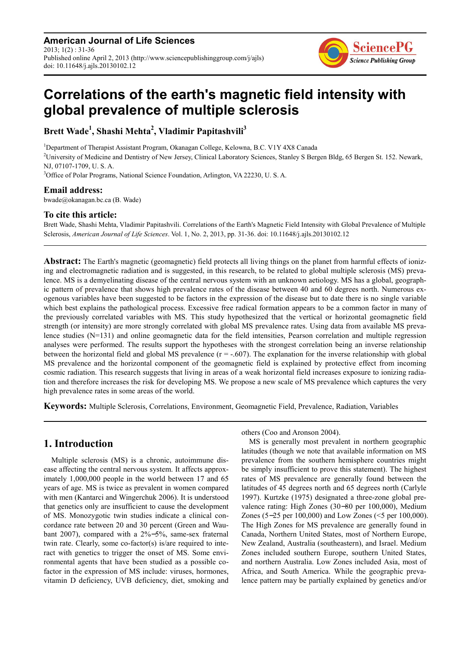**American Journal of Life Sciences** 2013; 1(2) : 31-36 Published online April 2, 2013 (http://www.sciencepublishinggroup.com/j/ajls) doi: 10.11648/j.ajls.20130102.12



# **Correlations of the earth's magnetic field intensity with global prevalence of multiple sclerosis**

**Brett Wade<sup>1</sup> , Shashi Mehta<sup>2</sup> , Vladimir Papitashvili<sup>3</sup>**

<sup>1</sup>Department of Therapist Assistant Program, Okanagan College, Kelowna, B.C. V1Y 4X8 Canada <sup>2</sup>University of Medicine and Dentistry of New Jersey, Clinical Laboratory Sciences, Stanley S Bergen Bldg, 65 Bergen St. 152. Newark, NJ, 07107-1709, U. S. A. <sup>3</sup>Office of Polar Programs, National Science Foundation, Arlington, VA 22230, U. S. A.

## **Email address:**

bwade@okanagan.bc.ca (B. Wade)

#### **To cite this article:**

Brett Wade, Shashi Mehta, Vladimir Papitashvili. Correlations of the Earth's Magnetic Field Intensity with Global Prevalence of Multiple Sclerosis, *American Journal of Life Sciences*. Vol. 1, No. 2, 2013, pp. 31-36. doi: 10.11648/j.ajls.20130102.12

**Abstract:** The Earth's magnetic (geomagnetic) field protects all living things on the planet from harmful effects of ionizing and electromagnetic radiation and is suggested, in this research, to be related to global multiple sclerosis (MS) prevalence. MS is a demyelinating disease of the central nervous system with an unknown aetiology. MS has a global, geographic pattern of prevalence that shows high prevalence rates of the disease between 40 and 60 degrees north. Numerous exogenous variables have been suggested to be factors in the expression of the disease but to date there is no single variable which best explains the pathological process. Excessive free radical formation appears to be a common factor in many of the previously correlated variables with MS. This study hypothesized that the vertical or horizontal geomagnetic field strength (or intensity) are more strongly correlated with global MS prevalence rates. Using data from available MS prevalence studies (N=131) and online geomagnetic data for the field intensities, Pearson correlation and multiple regression analyses were performed. The results support the hypotheses with the strongest correlation being an inverse relationship between the horizontal field and global MS prevalence  $(r = .607)$ . The explanation for the inverse relationship with global MS prevalence and the horizontal component of the geomagnetic field is explained by protective effect from incoming cosmic radiation. This research suggests that living in areas of a weak horizontal field increases exposure to ionizing radiation and therefore increases the risk for developing MS. We propose a new scale of MS prevalence which captures the very high prevalence rates in some areas of the world.

**Keywords:** Multiple Sclerosis, Correlations, Environment, Geomagnetic Field, Prevalence, Radiation, Variables

## **1. Introduction**

Multiple sclerosis (MS) is a chronic, autoimmune disease affecting the central nervous system. It affects approximately 1,000,000 people in the world between 17 and 65 years of age. MS is twice as prevalent in women compared with men (Kantarci and Wingerchuk 2006). It is understood that genetics only are insufficient to cause the development of MS. Monozygotic twin studies indicate a clinical concordance rate between 20 and 30 percent (Green and Waubant 2007), compared with a 2%−5%, same-sex fraternal twin rate. Clearly, some co-factor(s) is/are required to interact with genetics to trigger the onset of MS. Some environmental agents that have been studied as a possible cofactor in the expression of MS include: viruses, hormones, vitamin D deficiency, UVB deficiency, diet, smoking and others (Coo and Aronson 2004).

MS is generally most prevalent in northern geographic latitudes (though we note that available information on MS prevalence from the southern hemisphere countries might be simply insufficient to prove this statement). The highest rates of MS prevalence are generally found between the latitudes of 45 degrees north and 65 degrees north (Carlyle 1997). Kurtzke (1975) designated a three-zone global prevalence rating: High Zones (30−80 per 100,000), Medium Zones (5−25 per 100,000) and Low Zones (<5 per 100,000). The High Zones for MS prevalence are generally found in Canada, Northern United States, most of Northern Europe, New Zealand, Australia (southeastern), and Israel. Medium Zones included southern Europe, southern United States, and northern Australia. Low Zones included Asia, most of Africa, and South America. While the geographic prevalence pattern may be partially explained by genetics and/or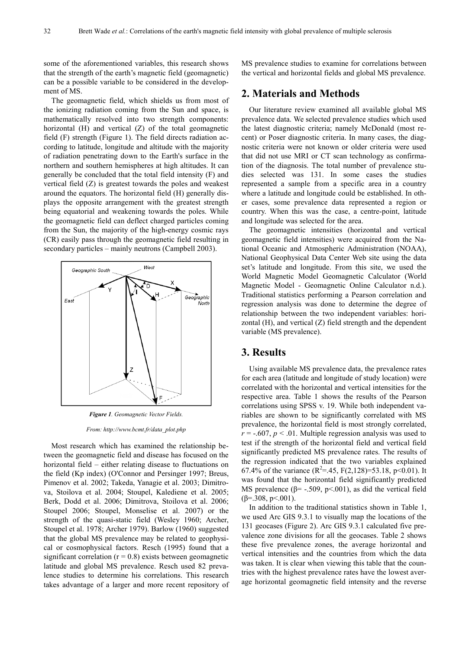some of the aforementioned variables, this research shows that the strength of the earth's magnetic field (geomagnetic) can be a possible variable to be considered in the development of MS.

The geomagnetic field, which shields us from most of the ionizing radiation coming from the Sun and space, is mathematically resolved into two strength components: horizontal (H) and vertical (Z) of the total geomagnetic field (F) strength (Figure 1). The field directs radiation according to latitude, longitude and altitude with the majority of radiation penetrating down to the Earth's surface in the northern and southern hemispheres at high altitudes. It can generally be concluded that the total field intensity (F) and vertical field (Z) is greatest towards the poles and weakest around the equators. The horizontal field (H) generally displays the opposite arrangement with the greatest strength being equatorial and weakening towards the poles. While the geomagnetic field can deflect charged particles coming from the Sun, the majority of the high-energy cosmic rays (CR) easily pass through the geomagnetic field resulting in secondary particles – mainly neutrons (Campbell 2003).



*Figure 1. Geomagnetic Vector Fields.* 

*From: http://www.bcmt.fr/data\_plot.php* 

Most research which has examined the relationship between the geomagnetic field and disease has focused on the horizontal field – either relating disease to fluctuations on the field (Kp index) (O'Connor and Persinger 1997; Breus, Pimenov et al. 2002; Takeda, Yanagie et al. 2003; Dimitrova, Stoilova et al. 2004; Stoupel, Kalediene et al. 2005; Berk, Dodd et al. 2006; Dimitrova, Stoilova et al. 2006; Stoupel 2006; Stoupel, Monselise et al. 2007) or the strength of the quasi-static field (Wesley 1960; Archer, Stoupel et al. 1978; Archer 1979). Barlow (1960) suggested that the global MS prevalence may be related to geophysical or cosmophysical factors. Resch (1995) found that a significant correlation  $(r = 0.8)$  exists between geomagnetic latitude and global MS prevalence. Resch used 82 prevalence studies to determine his correlations. This research takes advantage of a larger and more recent repository of MS prevalence studies to examine for correlations between the vertical and horizontal fields and global MS prevalence.

#### **2. Materials and Methods**

Our literature review examined all available global MS prevalence data. We selected prevalence studies which used the latest diagnostic criteria; namely McDonald (most recent) or Poser diagnostic criteria. In many cases, the diagnostic criteria were not known or older criteria were used that did not use MRI or CT scan technology as confirmation of the diagnosis. The total number of prevalence studies selected was 131. In some cases the studies represented a sample from a specific area in a country where a latitude and longitude could be established. In other cases, some prevalence data represented a region or country. When this was the case, a centre-point, latitude and longitude was selected for the area.

The geomagnetic intensities (horizontal and vertical geomagnetic field intensities) were acquired from the National Oceanic and Atmospheric Administration (NOAA), National Geophysical Data Center Web site using the data set's latitude and longitude. From this site, we used the World Magnetic Model Geomagnetic Calculator (World Magnetic Model - Geomagnetic Online Calculator n.d.). Traditional statistics performing a Pearson correlation and regression analysis was done to determine the degree of relationship between the two independent variables: horizontal (H), and vertical (Z) field strength and the dependent variable (MS prevalence).

#### **3. Results**

Using available MS prevalence data, the prevalence rates for each area (latitude and longitude of study location) were correlated with the horizontal and vertical intensities for the respective area. Table 1 shows the results of the Pearson correlations using SPSS v. 19. While both independent variables are shown to be significantly correlated with MS prevalence, the horizontal field is most strongly correlated,  $r = -.607$ ,  $p < .01$ . Multiple regression analysis was used to test if the strength of the horizontal field and vertical field significantly predicted MS prevalence rates. The results of the regression indicated that the two variables explained 67.4% of the variance  $(R^2 = .45, F(2,128) = 53.18, p < 0.01)$ . It was found that the horizontal field significantly predicted MS prevalence ( $\beta$ = -.509, p<.001), as did the vertical field  $(\beta = .308, \, p \le 0.001)$ .

In addition to the traditional statistics shown in Table 1, we used Arc GIS 9.3.1 to visually map the locations of the 131 geocases (Figure 2). Arc GIS 9.3.1 calculated five prevalence zone divisions for all the geocases. Table 2 shows these five prevalence zones, the average horizontal and vertical intensities and the countries from which the data was taken. It is clear when viewing this table that the countries with the highest prevalence rates have the lowest average horizontal geomagnetic field intensity and the reverse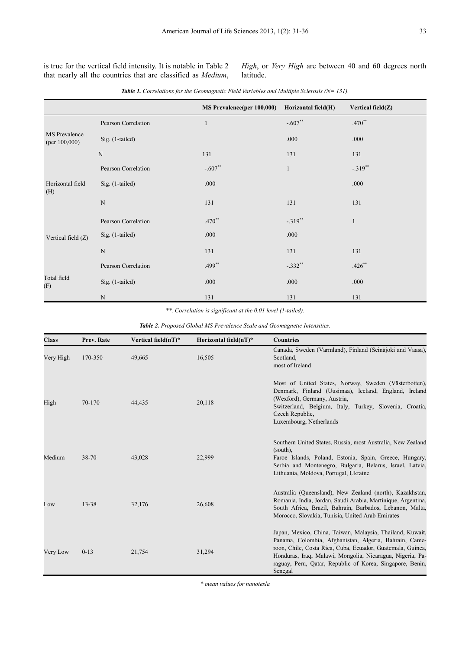is true for the vertical field intensity. It is notable in Table 2 that nearly all the countries that are classified as *Medium*,

*High*, or *Very High* are between 40 and 60 degrees north latitude.

|                                   |                     | <b>MS Prevalence(per 100,000)</b> | Horizontal field(H) | Vertical field(Z) |
|-----------------------------------|---------------------|-----------------------------------|---------------------|-------------------|
| MS Prevalence<br>(per $100,000$ ) | Pearson Correlation | $\mathbf{1}$                      | $-.607**$           | $.470**$          |
|                                   | Sig. (1-tailed)     |                                   | .000                | .000              |
|                                   | ${\bf N}$           | 131                               | 131                 | 131               |
| Horizontal field<br>(H)           | Pearson Correlation | $-.607**$                         | $\mathbf{1}$        | $-.319$ **        |
|                                   | Sig. (1-tailed)     | .000                              |                     | .000              |
|                                   | ${\bf N}$           | 131                               | 131                 | 131               |
| Vertical field (Z)                | Pearson Correlation | $.470**$                          | $-.319$ **          | $\mathbf{1}$      |
|                                   | Sig. (1-tailed)     | .000                              | .000                |                   |
|                                   | $\mathbf N$         | 131                               | 131                 | 131               |
| Total field<br>(F)                | Pearson Correlation | $.499**$                          | $-.332**$           | $.426**$          |
|                                   | $Sig.$ (1-tailed)   | .000                              | .000                | .000              |
|                                   | $\mathbf N$         | 131                               | 131                 | 131               |

*Table 1. Correlations for the Geomagnetic Field Variables and Multiple Sclerosis (N= 131).* 

*\*\*. Correlation is significant at the 0.01 level (1-tailed).*

*Table 2. Proposed Global MS Prevalence Scale and Geomagnetic Intensities.* 

| <b>Class</b> | Prev. Rate | Vertical field $(nT)^*$ | Horizontal field $(nT)^*$ | Countries                                                                                                                                                                                                                                                                                                              |
|--------------|------------|-------------------------|---------------------------|------------------------------------------------------------------------------------------------------------------------------------------------------------------------------------------------------------------------------------------------------------------------------------------------------------------------|
| Very High    | 170-350    | 49,665                  | 16,505                    | Canada, Sweden (Varmland), Finland (Seinäjoki and Vaasa),<br>Scotland,<br>most of Ireland                                                                                                                                                                                                                              |
| High         | 70-170     | 44,435                  | 20,118                    | Most of United States, Norway, Sweden (Västerbotten),<br>Denmark, Finland (Uusimaa), Iceland, England, Ireland<br>(Wexford), Germany, Austria,<br>Switzerland, Belgium, Italy, Turkey, Slovenia, Croatia,<br>Czech Republic,<br>Luxembourg, Netherlands                                                                |
| Medium       | 38-70      | 43,028                  | 22,999                    | Southern United States, Russia, most Australia, New Zealand<br>(south),<br>Faroe Islands, Poland, Estonia, Spain, Greece, Hungary,<br>Serbia and Montenegro, Bulgaria, Belarus, Israel, Latvia,<br>Lithuania, Moldova, Portugal, Ukraine                                                                               |
| Low          | 13-38      | 32,176                  | 26,608                    | Australia (Queensland), New Zealand (north), Kazakhstan,<br>Romania, India, Jordan, Saudi Arabia, Martinique, Argentina,<br>South Africa, Brazil, Bahrain, Barbados, Lebanon, Malta,<br>Morocco, Slovakia, Tunisia, United Arab Emirates                                                                               |
| Very Low     | $0-13$     | 21,754                  | 31,294                    | Japan, Mexico, China, Taiwan, Malaysia, Thailand, Kuwait,<br>Panama, Colombia, Afghanistan, Algeria, Bahrain, Came-<br>roon, Chile, Costa Rica, Cuba, Ecuador, Guatemala, Guinea,<br>Honduras, Iraq, Malawi, Mongolia, Nicaragua, Nigeria, Pa-<br>raguay, Peru, Qatar, Republic of Korea, Singapore, Benin,<br>Senegal |

*\* mean values for nanotesla*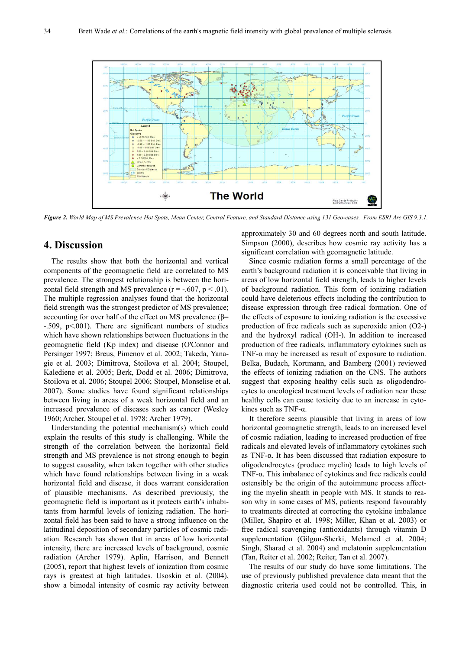

*Figure 2. World Map of MS Prevalence Hot Spots, Mean Center, Central Feature, and Standard Distance using 131 Geo-cases. From ESRI Arc GIS 9.3.1.* 

#### **4. Discussion**

The results show that both the horizontal and vertical components of the geomagnetic field are correlated to MS prevalence. The strongest relationship is between the horizontal field strength and MS prevalence  $(r = -.607, p < .01)$ . The multiple regression analyses found that the horizontal field strength was the strongest predictor of MS prevalence; accounting for over half of the effect on MS prevalence ( $\beta$ = -.509, p<.001). There are significant numbers of studies which have shown relationships between fluctuations in the geomagnetic field (Kp index) and disease (O'Connor and Persinger 1997; Breus, Pimenov et al. 2002; Takeda, Yanagie et al. 2003; Dimitrova, Stoilova et al. 2004; Stoupel, Kalediene et al. 2005; Berk, Dodd et al. 2006; Dimitrova, Stoilova et al. 2006; Stoupel 2006; Stoupel, Monselise et al. 2007). Some studies have found significant relationships between living in areas of a weak horizontal field and an increased prevalence of diseases such as cancer (Wesley 1960; Archer, Stoupel et al. 1978; Archer 1979).

Understanding the potential mechanism(s) which could explain the results of this study is challenging. While the strength of the correlation between the horizontal field strength and MS prevalence is not strong enough to begin to suggest causality, when taken together with other studies which have found relationships between living in a weak horizontal field and disease, it does warrant consideration of plausible mechanisms. As described previously, the geomagnetic field is important as it protects earth's inhabitants from harmful levels of ionizing radiation. The horizontal field has been said to have a strong influence on the latitudinal deposition of secondary particles of cosmic radiation. Research has shown that in areas of low horizontal intensity, there are increased levels of background, cosmic radiation (Archer 1979). Aplin, Harrison, and Bennett (2005), report that highest levels of ionization from cosmic rays is greatest at high latitudes. Usoskin et al. (2004), show a bimodal intensity of cosmic ray activity between approximately 30 and 60 degrees north and south latitude. Simpson (2000), describes how cosmic ray activity has a significant correlation with geomagnetic latitude.

Since cosmic radiation forms a small percentage of the earth's background radiation it is conceivable that living in areas of low horizontal field strength, leads to higher levels of background radiation. This form of ionizing radiation could have deleterious effects including the contribution to disease expression through free radical formation. One of the effects of exposure to ionizing radiation is the excessive production of free radicals such as superoxide anion (O2-) and the hydroxyl radical (OH-). In addition to increased production of free radicals, inflammatory cytokines such as TNF- $\alpha$  may be increased as result of exposure to radiation. Belka, Budach, Kortmann, and Bamberg (2001) reviewed the effects of ionizing radiation on the CNS. The authors suggest that exposing healthy cells such as oligodendrocytes to oncological treatment levels of radiation near these healthy cells can cause toxicity due to an increase in cytokines such as TNF- $\alpha$ .

It therefore seems plausible that living in areas of low horizontal geomagnetic strength, leads to an increased level of cosmic radiation, leading to increased production of free radicals and elevated levels of inflammatory cytokines such as TNF-α. It has been discussed that radiation exposure to oligodendrocytes (produce myelin) leads to high levels of TNF-α. This imbalance of cytokines and free radicals could ostensibly be the origin of the autoimmune process affecting the myelin sheath in people with MS. It stands to reason why in some cases of MS, patients respond favourably to treatments directed at correcting the cytokine imbalance (Miller, Shapiro et al. 1998; Miller, Khan et al. 2003) or free radical scavenging (antioxidants) through vitamin D supplementation (Gilgun-Sherki, Melamed et al. 2004; Singh, Sharad et al. 2004) and melatonin supplementation (Tan, Reiter et al. 2002; Reiter, Tan et al. 2007).

The results of our study do have some limitations. The use of previously published prevalence data meant that the diagnostic criteria used could not be controlled. This, in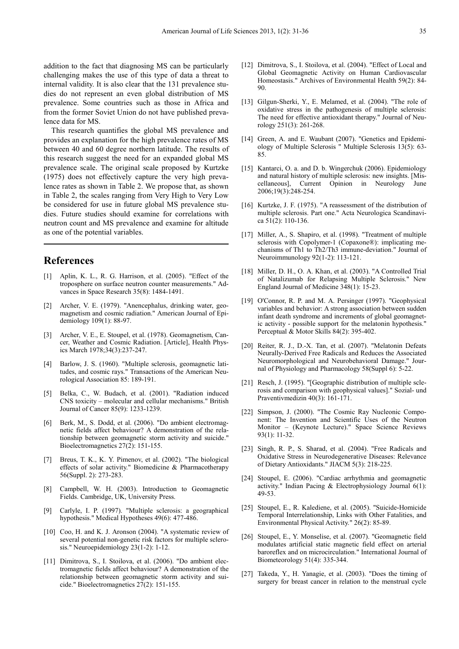addition to the fact that diagnosing MS can be particularly challenging makes the use of this type of data a threat to internal validity. It is also clear that the 131 prevalence studies do not represent an even global distribution of MS prevalence. Some countries such as those in Africa and from the former Soviet Union do not have published prevalence data for MS.

This research quantifies the global MS prevalence and provides an explanation for the high prevalence rates of MS between 40 and 60 degree northern latitude. The results of this research suggest the need for an expanded global MS prevalence scale. The original scale proposed by Kurtzke (1975) does not effectively capture the very high prevalence rates as shown in Table 2. We propose that, as shown in Table 2, the scales ranging from Very High to Very Low be considered for use in future global MS prevalence studies. Future studies should examine for correlations with neutron count and MS prevalence and examine for altitude as one of the potential variables.

## **References**

- [1] Aplin, K. L., R. G. Harrison, et al. (2005). "Effect of the troposphere on surface neutron counter measurements." Advances in Space Research 35(8): 1484-1491.
- [2] Archer, V. E. (1979). "Anencephalus, drinking water, geomagnetism and cosmic radiation." American Journal of Epidemiology 109(1): 88-97.
- [3] Archer, V. E., E. Stoupel, et al. (1978). Geomagnetism, Cancer, Weather and Cosmic Radiation. [Article], Health Physics March 1978;34(3):237-247.
- [4] Barlow, J. S. (1960). "Multiple sclerosis, geomagnetic latitudes, and cosmic rays." Transactions of the American Neurological Association 85: 189-191.
- [5] Belka, C., W. Budach, et al. (2001). "Radiation induced CNS toxicity – molecular and cellular mechanisms." British Journal of Cancer 85(9): 1233-1239.
- [6] Berk, M., S. Dodd, et al. (2006). "Do ambient electromagnetic fields affect behaviour? A demonstration of the relationship between geomagnetic storm activity and suicide." Bioelectromagnetics 27(2): 151-155.
- [7] Breus, T. K., K. Y. Pimenov, et al. (2002). "The biological effects of solar activity." Biomedicine & Pharmacotherapy 56(Suppl. 2): 273-283.
- [8] Campbell, W. H. (2003). Introduction to Geomagnetic Fields. Cambridge, UK, University Press.
- [9] Carlyle, I. P. (1997). "Multiple sclerosis: a geographical hypothesis." Medical Hypotheses 49(6): 477-486.
- [10] Coo, H. and K. J. Aronson (2004). "A systematic review of several potential non-genetic risk factors for multiple sclerosis." Neuroepidemiology 23(1-2): 1-12.
- [11] Dimitrova, S., I. Stoilova, et al. (2006). "Do ambient electromagnetic fields affect behaviour? A demonstration of the relationship between geomagnetic storm activity and suicide." Bioelectromagnetics 27(2): 151-155.
- [12] Dimitrova, S., I. Stoilova, et al. (2004). "Effect of Local and Global Geomagnetic Activity on Human Cardiovascular Homeostasis." Archives of Environmental Health 59(2): 84- 90.
- [13] Gilgun-Sherki, Y., E. Melamed, et al. (2004). "The role of oxidative stress in the pathogenesis of multiple sclerosis: The need for effective antioxidant therapy." Journal of Neurology 251(3): 261-268.
- [14] Green, A. and E. Waubant (2007). "Genetics and Epidemiology of Multiple Sclerosis " Multiple Sclerosis 13(5): 63- 85.
- [15] Kantarci, O. a. and D. b. Wingerchuk (2006). Epidemiology and natural history of multiple sclerosis: new insights. [Miscellaneous], Current Opinion in Neurology June 2006;19(3):248-254.
- [16] Kurtzke, J. F. (1975). "A reassessment of the distribution of multiple sclerosis. Part one." Acta Neurologica Scandinavica 51(2): 110-136.
- [17] Miller, A., S. Shapiro, et al. (1998). "Treatment of multiple sclerosis with Copolymer-1 (Copaxone®): implicating mechanisms of Th1 to Th2/Th3 immune-deviation." Journal of Neuroimmunology 92(1-2): 113-121.
- [18] Miller, D. H., O. A. Khan, et al. (2003). "A Controlled Trial of Natalizumab for Relapsing Multiple Sclerosis." New England Journal of Medicine 348(1): 15-23.
- [19] O'Connor, R. P. and M. A. Persinger (1997). "Geophysical variables and behavior: A strong association between sudden infant death syndrome and increments of global geomagnetic activity - possible support for the melatonin hypothesis." Perceptual & Motor Skills 84(2): 395-402.
- [20] Reiter, R. J., D.-X. Tan, et al. (2007). "Melatonin Defeats Neurally-Derived Free Radicals and Reduces the Associated Neuromorphological and Neurobehavioral Damage." Journal of Physiology and Pharmacology 58(Suppl 6): 5-22.
- [21] Resch, J. (1995). "[Geographic distribution of multiple sclerosis and comparison with geophysical values]." Sozial- und Praventivmedizin 40(3): 161-171.
- [22] Simpson, J. (2000). "The Cosmic Ray Nucleonic Component: The Invention and Scientific Uses of the Neutron Monitor – (Keynote Lecture)." Space Science Reviews 93(1): 11-32.
- [23] Singh, R. P., S. Sharad, et al. (2004). "Free Radicals and Oxidative Stress in Neurodegenerative Diseases: Relevance of Dietary Antioxidants." JIACM 5(3): 218-225.
- [24] Stoupel, E. (2006). "Cardiac arrhythmia and geomagnetic activity." Indian Pacing & Electrophysiology Journal 6(1): 49-53.
- [25] Stoupel, E., R. Kalediene, et al. (2005). "Suicide-Homicide Temporal Interrelationship, Links with Other Fatalities, and Environmental Physical Activity." 26(2): 85-89.
- [26] Stoupel, E., Y. Monselise, et al. (2007). "Geomagnetic field modulates artificial static magnetic field effect on arterial baroreflex and on microcirculation." International Journal of Biometeorology 51(4): 335-344.
- [27] Takeda, Y., H. Yanagie, et al. (2003). "Does the timing of surgery for breast cancer in relation to the menstrual cycle